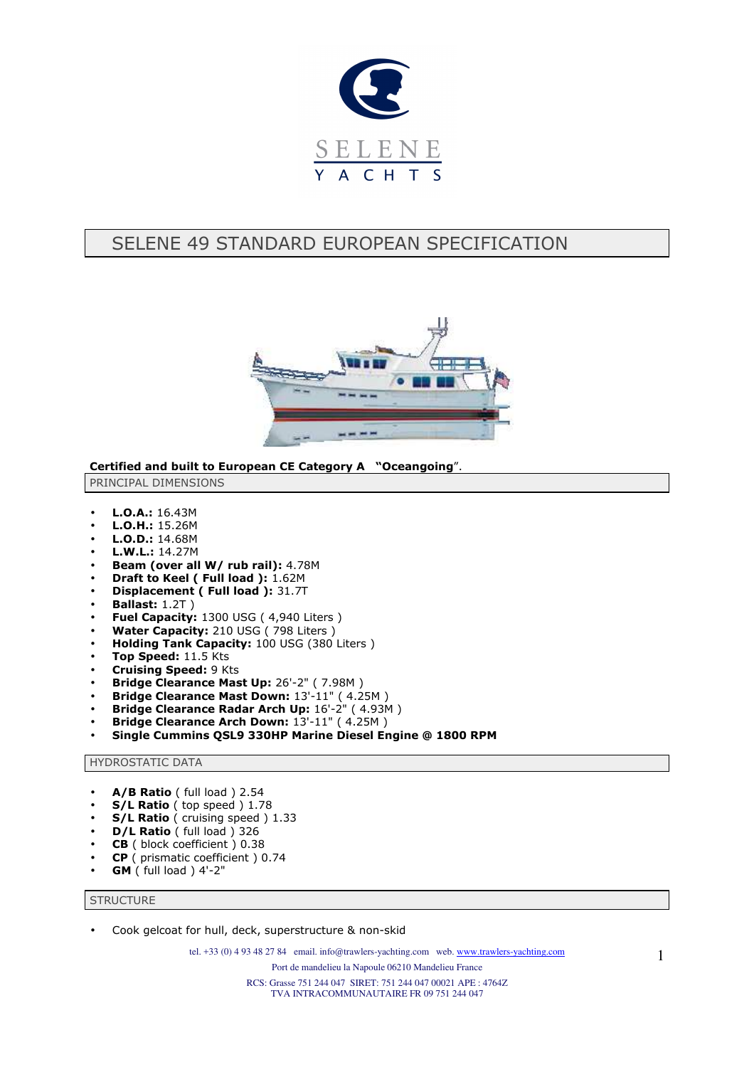

# SELENE 49 STANDARD EUROPEAN SPECIFICATION



**Certified and built to European CE Category A "Oceangoing**".

PRINCIPAL DIMENSIONS

- **L.O.A.:** 16.43M
- **L.O.H.:** 15.26M
- **L.O.D.:** 14.68M
- **L.W.L.:** 14.27M
- **Beam (over all W/ rub rail):** 4.78M
- **Draft to Keel ( Full load ):** 1.62M
- **Displacement ( Full load ):** 31.7T
- **Ballast:** 1.2T )
- **Fuel Capacity: 1300 USG (4,940 Liters)**
- **Water Capacity:** 210 USG ( 798 Liters )
- **Holding Tank Capacity:** 100 USG (380 Liters )
- **Top Speed:** 11.5 Kts
- **Cruising Speed:** 9 Kts
- **Bridge Clearance Mast Up:** 26'-2" ( 7.98M )
- **Bridge Clearance Mast Down:** 13'-11" ( 4.25M )
- **Bridge Clearance Radar Arch Up:** 16'-2" ( 4.93M )
- **Bridge Clearance Arch Down:** 13'-11" ( 4.25M )
- **Single Cummins QSL9 330HP Marine Diesel Engine @ 1800 RPM**

## HYDROSTATIC DATA

- **A/B Ratio** ( full load ) 2.54
- **S/L Ratio** ( top speed ) 1.78
- **S/L Ratio** ( cruising speed ) 1.33
- **D/L Ratio** ( full load ) 326
- **CB** ( block coefficient ) 0.38
- **CP** ( prismatic coefficient ) 0.74
- **GM** ( full load ) 4'-2"

### **STRUCTURE**

• Cook gelcoat for hull, deck, superstructure & non-skid

tel. +33 (0) 4 93 48 27 84 email. info@trawlers-yachting.com web. www.trawlers-yachting.com

Port de mandelieu la Napoule 06210 Mandelieu France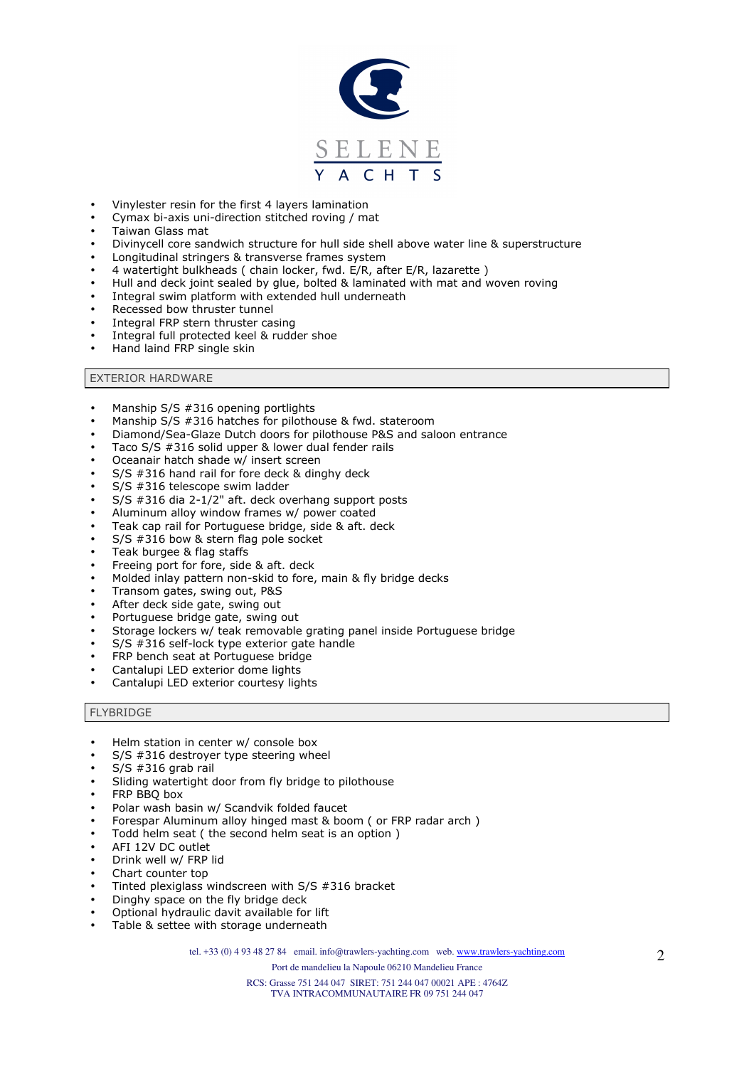

- Vinylester resin for the first 4 layers lamination
- Cymax bi-axis uni-direction stitched roving / mat
- Taiwan Glass mat
- Divinycell core sandwich structure for hull side shell above water line & superstructure
- Longitudinal stringers & transverse frames system
- 4 watertight bulkheads ( chain locker, fwd. E/R, after E/R, lazarette )
- Hull and deck joint sealed by glue, bolted & laminated with mat and woven roving
- Integral swim platform with extended hull underneath
- Recessed bow thruster tunnel
- Integral FRP stern thruster casing
- Integral full protected keel & rudder shoe
- Hand laind FRP single skin

## EXTERIOR HARDWARE

- Manship S/S #316 opening portlights
- Manship S/S #316 hatches for pilothouse & fwd. stateroom
- Diamond/Sea-Glaze Dutch doors for pilothouse P&S and saloon entrance
- Taco S/S #316 solid upper & lower dual fender rails
- Oceanair hatch shade w/ insert screen
- $S/S$  #316 hand rail for fore deck & dinghy deck
- S/S #316 telescope swim ladder
- S/S #316 dia 2-1/2" aft. deck overhang support posts
- Aluminum alloy window frames w/ power coated
- Teak cap rail for Portuguese bridge, side & aft. deck
- S/S #316 bow & stern flag pole socket
- Teak burgee & flag staffs
- Freeing port for fore, side & aft. deck
- Molded inlay pattern non-skid to fore, main & fly bridge decks
- Transom gates, swing out, P&S
- After deck side gate, swing out
- Portuguese bridge gate, swing out
- Storage lockers w/ teak removable grating panel inside Portuguese bridge
- S/S #316 self-lock type exterior gate handle
- FRP bench seat at Portuguese bridge
- Cantalupi LED exterior dome lights
- Cantalupi LED exterior courtesy lights

#### **FLYBRIDGE**

- Helm station in center w/ console box
- S/S #316 destroyer type steering wheel
- $S/S$  #316 grab rail
- Sliding watertight door from fly bridge to pilothouse
- FRP BBQ box
- Polar wash basin w/ Scandvik folded faucet
- Forespar Aluminum alloy hinged mast & boom ( or FRP radar arch )
- Todd helm seat ( the second helm seat is an option )
- AFI 12V DC outlet
- Drink well w/ FRP lid
- Chart counter top
- Tinted plexiglass windscreen with  $S/S$  #316 bracket
- Dinghy space on the fly bridge deck
- Optional hydraulic davit available for lift
- Table & settee with storage underneath

tel. +33 (0) 4 93 48 27 84 email. info@trawlers-yachting.com web. www.trawlers-yachting.com

Port de mandelieu la Napoule 06210 Mandelieu France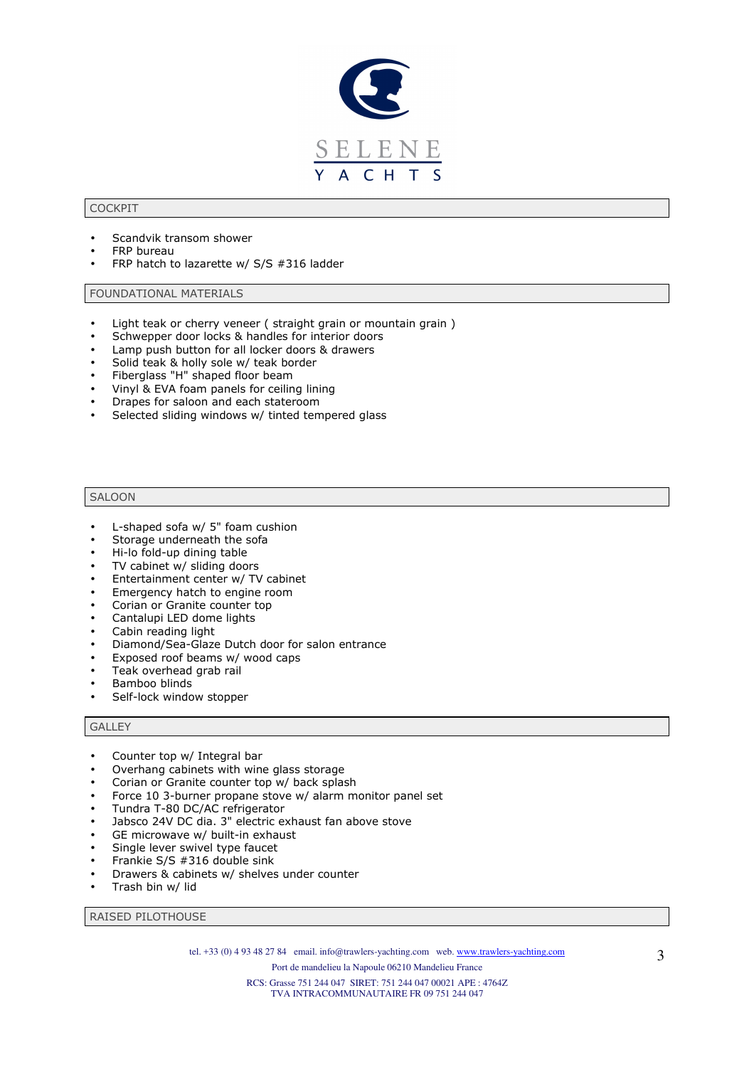

## COCKPIT

- Scandvik transom shower
- **FRP** bureau
- FRP hatch to lazarette w/ S/S #316 ladder

### FOUNDATIONAL MATERIALS

- Light teak or cherry veneer ( straight grain or mountain grain )
- Schwepper door locks & handles for interior doors
- Lamp push button for all locker doors & drawers
- Solid teak & holly sole w/ teak border
- Fiberglass "H" shaped floor beam
- Vinyl & EVA foam panels for ceiling lining
- Drapes for saloon and each stateroom
- Selected sliding windows w/ tinted tempered glass

#### SALOON

- L-shaped sofa w/ 5" foam cushion
- Storage underneath the sofa
- Hi-lo fold-up dining table
- TV cabinet w/ sliding doors
- Entertainment center w/ TV cabinet
- Emergency hatch to engine room
- Corian or Granite counter top
- Cantalupi LED dome lights
- Cabin reading light
- Diamond/Sea-Glaze Dutch door for salon entrance
- Exposed roof beams w/ wood caps
- Teak overhead grab rail
- Bamboo blinds
- Self-lock window stopper

#### GALLEY

- Counter top w/ Integral bar
- Overhang cabinets with wine glass storage
- Corian or Granite counter top w/ back splash
- Force 10 3-burner propane stove w/ alarm monitor panel set
- Tundra T-80 DC/AC refrigerator
- Jabsco 24V DC dia. 3" electric exhaust fan above stove
- GE microwave w/ built-in exhaust
- Single lever swivel type faucet
- Frankie S/S #316 double sink
- Drawers & cabinets w/ shelves under counter
- Trash bin w/ lid

RAISED PILOTHOUSE

tel. +33 (0) 4 93 48 27 84 email. info@trawlers-yachting.com web. www.trawlers-yachting.com

Port de mandelieu la Napoule 06210 Mandelieu France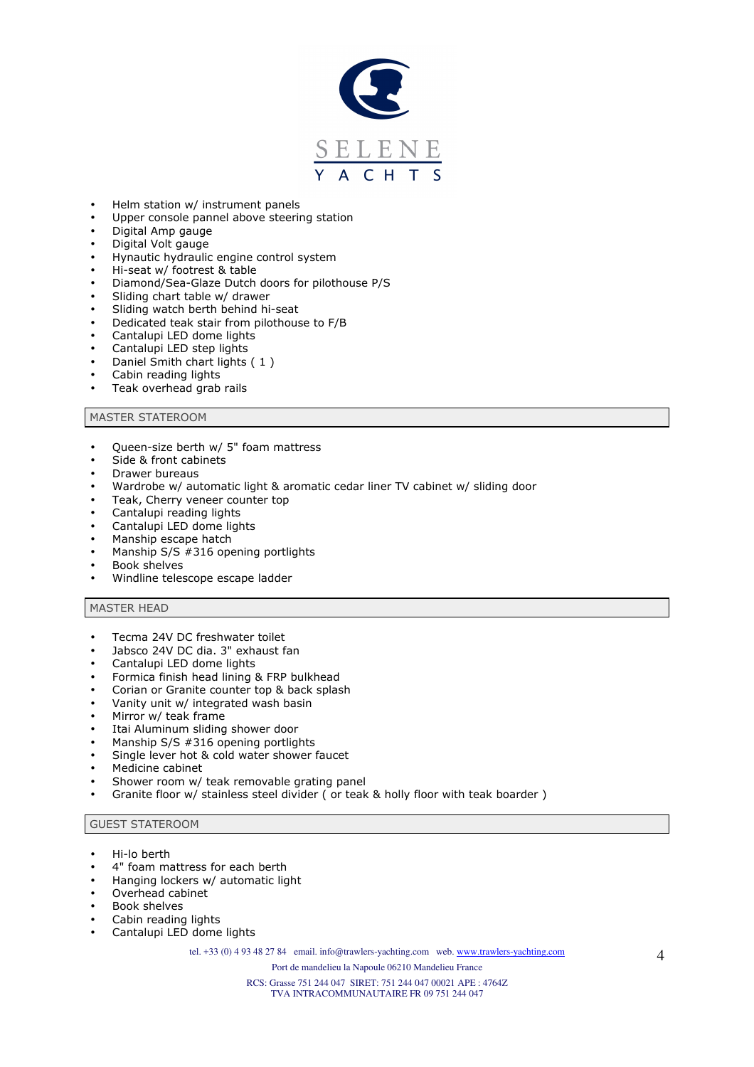

- Helm station w/ instrument panels
- Upper console pannel above steering station
- Digital Amp gauge
- Digital Volt gauge
- Hynautic hydraulic engine control system
- Hi-seat w/ footrest & table
- Diamond/Sea-Glaze Dutch doors for pilothouse P/S
- Sliding chart table w/ drawer
- Sliding watch berth behind hi-seat
- Dedicated teak stair from pilothouse to F/B
- Cantalupi LED dome lights
- Cantalupi LED step lights
- Daniel Smith chart lights ( 1 )
- Cabin reading lights
- Teak overhead grab rails

## MASTER STATEROOM

- Queen-size berth w/ 5" foam mattress
- Side & front cabinets
- Drawer bureaus
- Wardrobe w/ automatic light & aromatic cedar liner TV cabinet w/ sliding door
- Teak, Cherry veneer counter top
- Cantalupi reading lights
- Cantalupi LED dome lights
- Manship escape hatch
- Manship S/S #316 opening portlights
- Book shelves
- Windline telescope escape ladder

#### MASTER HEAD

- Tecma 24V DC freshwater toilet
- Jabsco 24V DC dia. 3" exhaust fan
- Cantalupi LED dome lights
- Formica finish head lining & FRP bulkhead
- Corian or Granite counter top & back splash
- Vanity unit w/ integrated wash basin
- Mirror w/ teak frame
- Itai Aluminum sliding shower door
- Manship S/S #316 opening portlights
- Single lever hot & cold water shower faucet
- Medicine cabinet
- Shower room w/ teak removable grating panel
- Granite floor w/ stainless steel divider ( or teak & holly floor with teak boarder )

GUEST STATEROOM

- Hi-lo berth
- 4" foam mattress for each berth
- Hanging lockers w/ automatic light
- Overhead cabinet
- Book shelves
- Cabin reading lights
- Cantalupi LED dome lights

tel. +33 (0) 4 93 48 27 84 email. info@trawlers-yachting.com web. www.trawlers-yachting.com

Port de mandelieu la Napoule 06210 Mandelieu France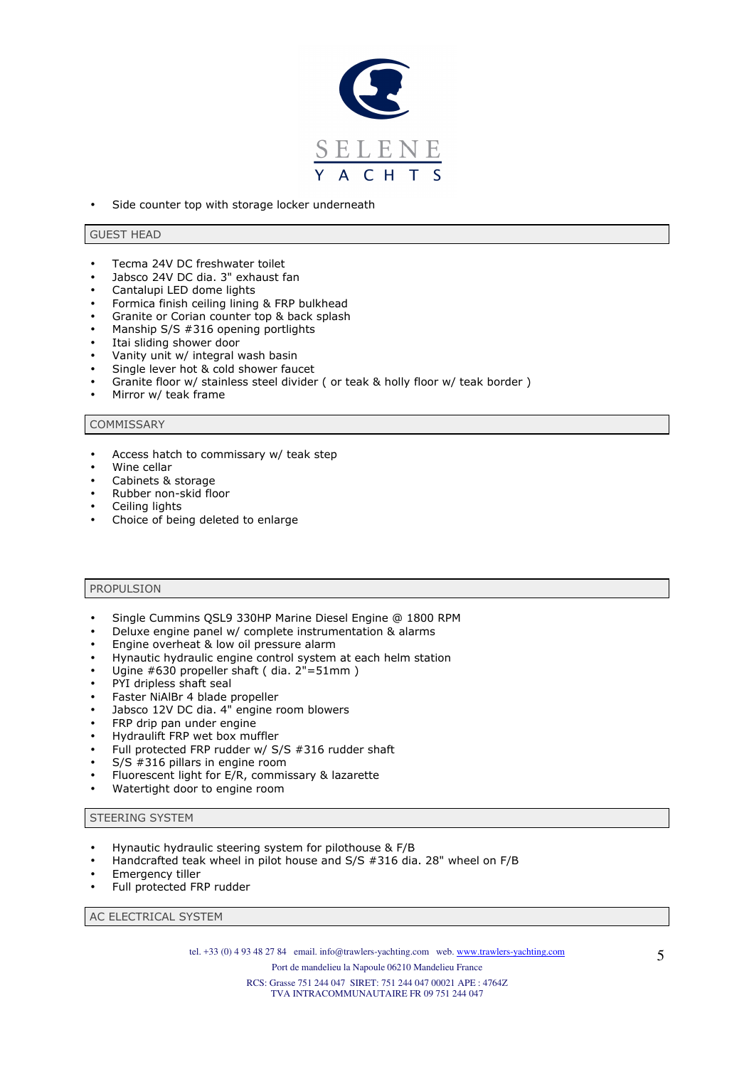

Side counter top with storage locker underneath

#### GUEST HEAD

- Tecma 24V DC freshwater toilet
- Jabsco 24V DC dia. 3" exhaust fan
- Cantalupi LED dome lights
- Formica finish ceiling lining & FRP bulkhead
- Granite or Corian counter top & back splash
- Manship S/S #316 opening portlights
- Itai sliding shower door
- Vanity unit w/ integral wash basin
- Single lever hot & cold shower faucet
- Granite floor w/ stainless steel divider ( or teak & holly floor w/ teak border )
- Mirror w/ teak frame

#### **COMMISSARY**

- Access hatch to commissary w/ teak step
- Wine cellar
- Cabinets & storage
- Rubber non-skid floor
- Ceiling lights
- Choice of being deleted to enlarge

## PROPULSION

- Single Cummins QSL9 330HP Marine Diesel Engine @ 1800 RPM
- Deluxe engine panel w/ complete instrumentation & alarms
- Engine overheat & low oil pressure alarm
- Hynautic hydraulic engine control system at each helm station
- Ugine #630 propeller shaft ( dia. 2"=51mm )
- PYI dripless shaft seal
- Faster NiAlBr 4 blade propeller
- Jabsco 12V DC dia. 4" engine room blowers
- FRP drip pan under engine
- Hydraulift FRP wet box muffler
- Full protected FRP rudder w/ S/S #316 rudder shaft
- S/S #316 pillars in engine room
- Fluorescent light for E/R, commissary & lazarette
- Watertight door to engine room

#### STEERING SYSTEM

- Hynautic hydraulic steering system for pilothouse & F/B
- Handcrafted teak wheel in pilot house and S/S #316 dia. 28" wheel on F/B
- Emergency tiller
- Full protected FRP rudder

AC ELECTRICAL SYSTEM

tel. +33 (0) 4 93 48 27 84 email. info@trawlers-yachting.com web. www.trawlers-yachting.com

Port de mandelieu la Napoule 06210 Mandelieu France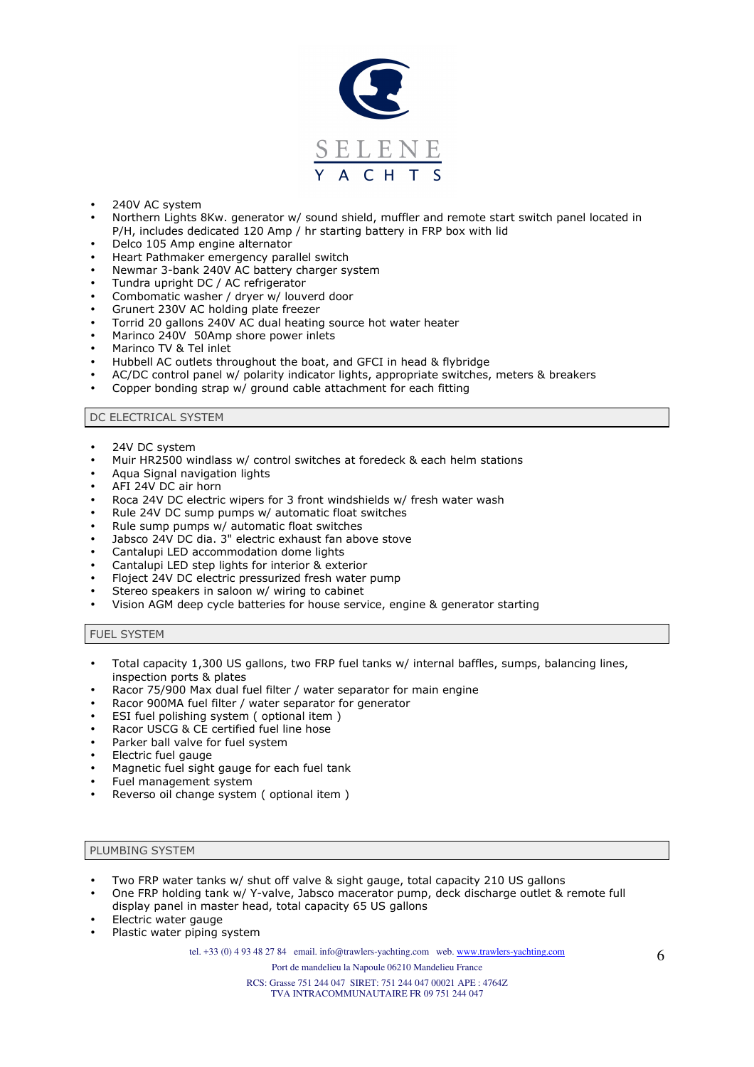

- 240V AC system
- Northern Lights 8Kw. generator w/ sound shield, muffler and remote start switch panel located in P/H, includes dedicated 120 Amp / hr starting battery in FRP box with lid
- Delco 105 Amp engine alternator
- Heart Pathmaker emergency parallel switch
- Newmar 3-bank 240V AC battery charger system
- Tundra upright DC / AC refrigerator
- Combomatic washer / dryer w/ louverd door
- Grunert 230V AC holding plate freezer
- Torrid 20 gallons 240V AC dual heating source hot water heater
- Marinco 240V 50Amp shore power inlets
- Marinco TV & Tel inlet
- Hubbell AC outlets throughout the boat, and GFCI in head & flybridge
- AC/DC control panel w/ polarity indicator lights, appropriate switches, meters & breakers
- Copper bonding strap w/ ground cable attachment for each fitting

## DC ELECTRICAL SYSTEM

- 24V DC system
- Muir HR2500 windlass w/ control switches at foredeck & each helm stations
- Aqua Signal navigation lights
- AFI 24V DC air horn
- Roca 24V DC electric wipers for 3 front windshields w/ fresh water wash
- Rule 24V DC sump pumps w/ automatic float switches
- Rule sump pumps w/ automatic float switches
- Jabsco 24V DC dia. 3" electric exhaust fan above stove
- Cantalupi LED accommodation dome lights
- Cantalupi LED step lights for interior & exterior
- Floject 24V DC electric pressurized fresh water pump
- Stereo speakers in saloon w/ wiring to cabinet
- Vision AGM deep cycle batteries for house service, engine & generator starting

## FUEL SYSTEM

- Total capacity 1,300 US gallons, two FRP fuel tanks w/ internal baffles, sumps, balancing lines, inspection ports & plates
- Racor 75/900 Max dual fuel filter / water separator for main engine
- Racor 900MA fuel filter / water separator for generator
- ESI fuel polishing system ( optional item )
- Racor USCG & CE certified fuel line hose
- Parker ball valve for fuel system
- Electric fuel gauge
- Magnetic fuel sight gauge for each fuel tank
- Fuel management system
- Reverso oil change system ( optional item )

#### PLUMBING SYSTEM

- Two FRP water tanks w/ shut off valve & sight gauge, total capacity 210 US gallons
- One FRP holding tank w/ Y-valve, Jabsco macerator pump, deck discharge outlet & remote full display panel in master head, total capacity 65 US gallons
- Electric water gauge
- Plastic water piping system

tel. +33 (0) 4 93 48 27 84 email. info@trawlers-yachting.com web. www.trawlers-yachting.com

Port de mandelieu la Napoule 06210 Mandelieu France